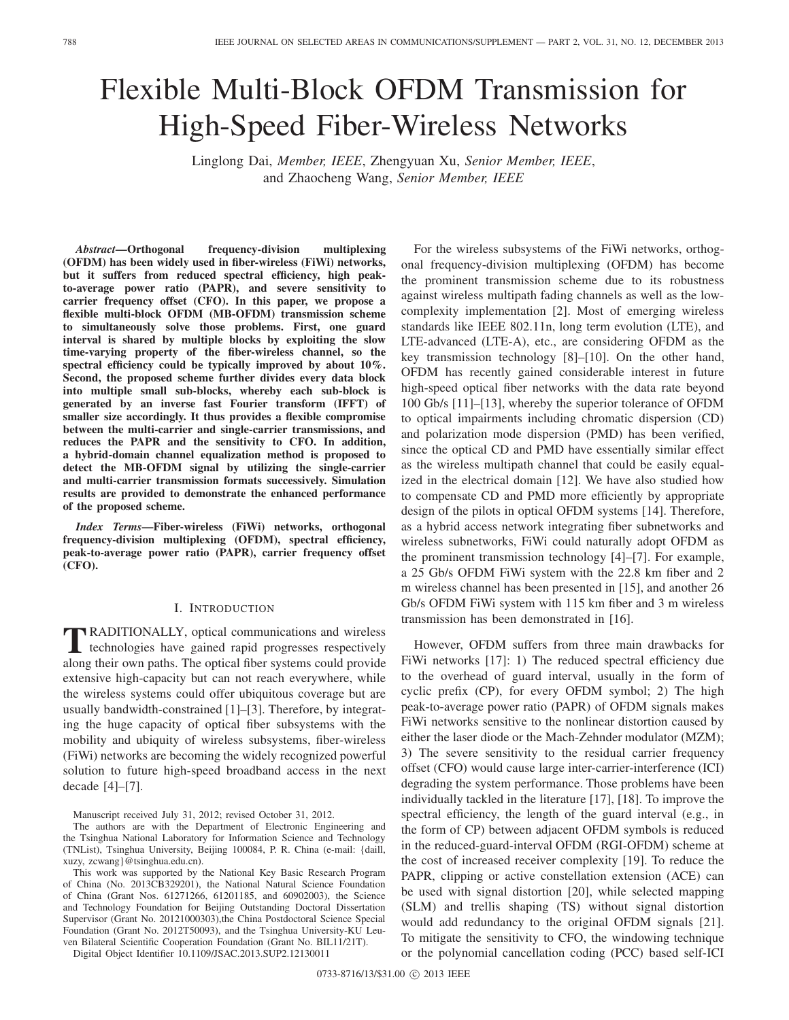# Flexible Multi-Block OFDM Transmission for High-Speed Fiber-Wireless Networks

Linglong Dai, *Member, IEEE*, Zhengyuan Xu, *Senior Member, IEEE*, and Zhaocheng Wang, *Senior Member, IEEE*

*Abstract***—Orthogonal frequency-division multiplexing (OFDM) has been widely used in fiber-wireless (FiWi) networks, but it suffers from reduced spectral efficiency, high peakto-average power ratio (PAPR), and severe sensitivity to carrier frequency offset (CFO). In this paper, we propose a flexible multi-block OFDM (MB-OFDM) transmission scheme to simultaneously solve those problems. First, one guard interval is shared by multiple blocks by exploiting the slow time-varying property of the fiber-wireless channel, so the spectral efficiency could be typically improved by about 10%. Second, the proposed scheme further divides every data block into multiple small sub-blocks, whereby each sub-block is generated by an inverse fast Fourier transform (IFFT) of smaller size accordingly. It thus provides a flexible compromise between the multi-carrier and single-carrier transmissions, and reduces the PAPR and the sensitivity to CFO. In addition, a hybrid-domain channel equalization method is proposed to detect the MB-OFDM signal by utilizing the single-carrier and multi-carrier transmission formats successively. Simulation results are provided to demonstrate the enhanced performance of the proposed scheme.**

*Index Terms***—Fiber-wireless (FiWi) networks, orthogonal frequency-division multiplexing (OFDM), spectral efficiency, peak-to-average power ratio (PAPR), carrier frequency offset (CFO).**

# I. INTRODUCTION

**T**RADITIONALLY, optical communications and wireless<br>technologies have gained rapid progresses respectively along their own paths. The optical fiber systems could provide extensive high-capacity but can not reach everywhere, while the wireless systems could offer ubiquitous coverage but are usually bandwidth-constrained [1]–[3]. Therefore, by integrating the huge capacity of optical fiber subsystems with the mobility and ubiquity of wireless subsystems, fiber-wireless (FiWi) networks are becoming the widely recognized powerful solution to future high-speed broadband access in the next decade [4]–[7].

Manuscript received July 31, 2012; revised October 31, 2012.

The authors are with the Department of Electronic Engineering and the Tsinghua National Laboratory for Information Science and Technology (TNList), Tsinghua University, Beijing 100084, P. R. China (e-mail: {daill, xuzy, zcwang}@tsinghua.edu.cn).

This work was supported by the National Key Basic Research Program of China (No. 2013CB329201), the National Natural Science Foundation of China (Grant Nos. 61271266, 61201185, and 60902003), the Science and Technology Foundation for Beijing Outstanding Doctoral Dissertation Supervisor (Grant No. 20121000303),the China Postdoctoral Science Special Foundation (Grant No. 2012T50093), and the Tsinghua University-KU Leuven Bilateral Scientific Cooperation Foundation (Grant No. BIL11/21T).

Digital Object Identifier 10.1109/JSAC.2013.SUP2.12130011

For the wireless subsystems of the FiWi networks, orthogonal frequency-division multiplexing (OFDM) has become the prominent transmission scheme due to its robustness against wireless multipath fading channels as well as the lowcomplexity implementation [2]. Most of emerging wireless standards like IEEE 802.11n, long term evolution (LTE), and LTE-advanced (LTE-A), etc., are considering OFDM as the key transmission technology [8]–[10]. On the other hand, OFDM has recently gained considerable interest in future high-speed optical fiber networks with the data rate beyond 100 Gb/s [11]–[13], whereby the superior tolerance of OFDM to optical impairments including chromatic dispersion (CD) and polarization mode dispersion (PMD) has been verified, since the optical CD and PMD have essentially similar effect as the wireless multipath channel that could be easily equalized in the electrical domain [12]. We have also studied how to compensate CD and PMD more efficiently by appropriate design of the pilots in optical OFDM systems [14]. Therefore, as a hybrid access network integrating fiber subnetworks and wireless subnetworks, FiWi could naturally adopt OFDM as the prominent transmission technology [4]–[7]. For example, a 25 Gb/s OFDM FiWi system with the 22.8 km fiber and 2 m wireless channel has been presented in [15], and another 26 Gb/s OFDM FiWi system with 115 km fiber and 3 m wireless transmission has been demonstrated in [16].

However, OFDM suffers from three main drawbacks for FiWi networks [17]: 1) The reduced spectral efficiency due to the overhead of guard interval, usually in the form of cyclic prefix (CP), for every OFDM symbol; 2) The high peak-to-average power ratio (PAPR) of OFDM signals makes FiWi networks sensitive to the nonlinear distortion caused by either the laser diode or the Mach-Zehnder modulator (MZM); 3) The severe sensitivity to the residual carrier frequency offset (CFO) would cause large inter-carrier-interference (ICI) degrading the system performance. Those problems have been individually tackled in the literature [17], [18]. To improve the spectral efficiency, the length of the guard interval (e.g., in the form of CP) between adjacent OFDM symbols is reduced in the reduced-guard-interval OFDM (RGI-OFDM) scheme at the cost of increased receiver complexity [19]. To reduce the PAPR, clipping or active constellation extension (ACE) can be used with signal distortion [20], while selected mapping (SLM) and trellis shaping (TS) without signal distortion would add redundancy to the original OFDM signals [21]. To mitigate the sensitivity to CFO, the windowing technique or the polynomial cancellation coding (PCC) based self-ICI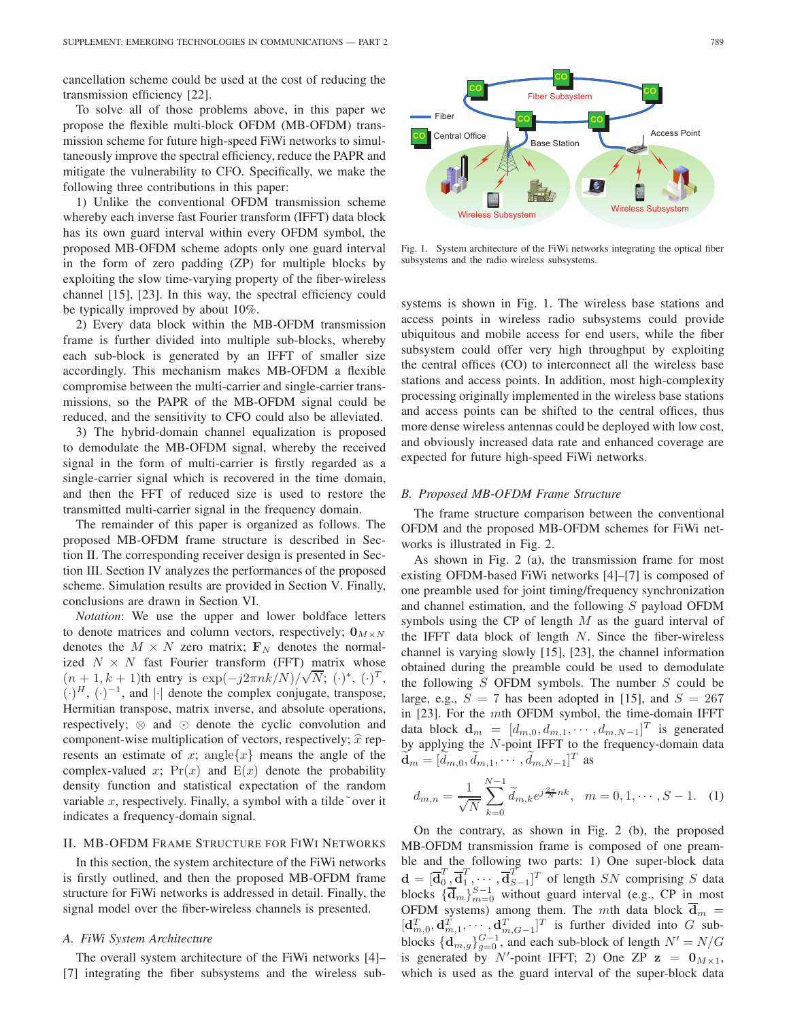cancellation scheme could be used at the cost of reducing the transmission efficiency [22].

To solve all of those problems above, in this paper we propose the flexible multi-block OFDM (MB-OFDM) transmission scheme for future high-speed FiWi networks to simultaneously improve the spectral efficiency, reduce the PAPR and mitigate the vulnerability to CFO. Specifically, we make the following three contributions in this paper:

1) Unlike the conventional OFDM transmission scheme whereby each inverse fast Fourier transform (IFFT) data block has its own guard interval within every OFDM symbol, the proposed MB-OFDM scheme adopts only one guard interval in the form of zero padding (ZP) for multiple blocks by exploiting the slow time-varying property of the fiber-wireless channel [15], [23]. In this way, the spectral efficiency could be typically improved by about 10%.

2) Every data block within the MB-OFDM transmission frame is further divided into multiple sub-blocks, whereby each sub-block is generated by an IFFT of smaller size accordingly. This mechanism makes MB-OFDM a flexible compromise between the multi-carrier and single-carrier transmissions, so the PAPR of the MB-OFDM signal could be reduced, and the sensitivity to CFO could also be alleviated.

3) The hybrid-domain channel equalization is proposed to demodulate the MB-OFDM signal, whereby the received signal in the form of multi-carrier is firstly regarded as a single-carrier signal which is recovered in the time domain, and then the FFT of reduced size is used to restore the transmitted multi-carrier signal in the frequency domain.

The remainder of this paper is organized as follows. The proposed MB-OFDM frame structure is described in Section II. The corresponding receiver design is presented in Section III. Section IV analyzes the performances of the proposed scheme. Simulation results are provided in Section V. Finally, conclusions are drawn in Section VI.

*Notation*: We use the upper and lower boldface letters to denote matrices and column vectors, respectively;  $\mathbf{0}_{M \times N}$ denotes the  $M \times N$  zero matrix;  $\mathbf{F}_N$  denotes the normalized  $N \times N$  fast Fourier transform (FFT) matrix whose  $(n+1, k+1)$ th entry is  $\exp(-j2\pi n k/N)/\sqrt{N}$ ;  $(\cdot)^*, (\cdot)^T$ ,<br> $(\cdot)^H$ ,  $(\cdot)^{-1}$  and  $(\cdot)$  denote the complex conjugate transpose  $(\cdot)^H$ ,  $(\cdot)^{-1}$ , and  $|\cdot|$  denote the complex conjugate, transpose, Hermitian transpose, matrix inverse, and absolute operations, respectively;  $\otimes$  and  $\odot$  denote the cyclic convolution and component-wise multiplication of vectors, respectively;  $\hat{x}$  represents an estimate of x; angle $\{x\}$  means the angle of the complex-valued x;  $Pr(x)$  and  $E(x)$  denote the probability density function and statistical expectation of the random variable x, respectively. Finally, a symbol with a tilde~over it indicates a frequency-domain signal.

# II. MB-OFDM FRAME STRUCTURE FOR FIWI NETWORKS

In this section, the system architecture of the FiWi networks is firstly outlined, and then the proposed MB-OFDM frame structure for FiWi networks is addressed in detail. Finally, the signal model over the fiber-wireless channels is presented.

## *A. FiWi System Architecture*

The overall system architecture of the FiWi networks [4]– [7] integrating the fiber subsystems and the wireless sub-



Fig. 1. System architecture of the FiWi networks integrating the optical fiber subsystems and the radio wireless subsystems.

systems is shown in Fig. 1. The wireless base stations and access points in wireless radio subsystems could provide ubiquitous and mobile access for end users, while the fiber subsystem could offer very high throughput by exploiting the central offices (CO) to interconnect all the wireless base stations and access points. In addition, most high-complexity processing originally implemented in the wireless base stations and access points can be shifted to the central offices, thus more dense wireless antennas could be deployed with low cost, and obviously increased data rate and enhanced coverage are expected for future high-speed FiWi networks.

# *B. Proposed MB-OFDM Frame Structure*

The frame structure comparison between the conventional OFDM and the proposed MB-OFDM schemes for FiWi networks is illustrated in Fig. 2.

As shown in Fig. 2 (a), the transmission frame for most existing OFDM-based FiWi networks [4]–[7] is composed of one preamble used for joint timing/frequency synchronization and channel estimation, and the following S payload OFDM symbols using the CP of length  $M$  as the guard interval of the IFFT data block of length  $N$ . Since the fiber-wireless channel is varying slowly [15], [23], the channel information obtained during the preamble could be used to demodulate the following  $S$  OFDM symbols. The number  $S$  could be large, e.g.,  $S = 7$  has been adopted in [15], and  $S = 267$ in [23]. For the mth OFDM symbol, the time-domain IFFT data block  $\mathbf{d}_m = [d_{m,0}, d_{m,1}, \cdots, d_{m,N-1}]^T$  is generated<br>by applying the N-point IEET to the frequency-domain data by applying the  $N$ -point IFFT to the frequency-domain data  $\widetilde{\mathbf{d}}_m = [\widetilde{d}_{m,0}, \widetilde{d}_{m,1}, \cdots, \widetilde{d}_{m,N-1}]^T$  as

$$
d_{m,n} = \frac{1}{\sqrt{N}} \sum_{k=0}^{N-1} \widetilde{d}_{m,k} e^{j\frac{2\pi}{N}nk}, \quad m = 0, 1, \cdots, S-1.
$$
 (1)

On the contrary, as shown in Fig. 2 (b), the proposed MB-OFDM transmission frame is composed of one preamble and the following two parts: 1) One super-block data  $\mathbf{d} = [\overline{\mathbf{d}}_0^T, \overline{\mathbf{d}}_1^T, \cdots, \overline{\mathbf{d}}_{S-1}^T]^T$  of length SN comprising S data<br>blocks  $[\overline{\mathbf{d}}_0^S, S^{-1}]$  without guard interval (e.g. CP in most  $\mathbf{d} = [\mathbf{d}_0, \mathbf{d}_1, \cdots, \mathbf{d}_{S-1}]$  of length  $SN$  comprising  $S$  data<br>blocks  $\{\mathbf{d}_m\}_{m=0}^{S-1}$  without guard interval (e.g., CP in most OFDM systems) among them. The *mth* data block  $\overline{d}_m = [d^T, d^T, \dots, d^T]$  is further divided into *C* sub- $[\mathbf{d}_{m,0}^T, \mathbf{d}_{m,1}^T, \cdots, \mathbf{d}_{m,G-1}^T]^T$  is further divided into G sub-<br>blocks  $[\mathbf{d}_{m,1}^T, \cdots, \mathbf{d}_{m,G-1}^T]^T$  is further divided into G subblocks  $\{d_{m,g}\}_{g=0}^{G-1}$ , and each sub-block of length  $N' = N/G$ <br>is generated by N'-point IEET: 2) One ZP z = 0.653 is generated by N'-point IFFT; 2) One ZP  $z = 0$ <sub>M×1</sub>,<br>which is used as the quard interval of the super-block data which is used as the guard interval of the super-block data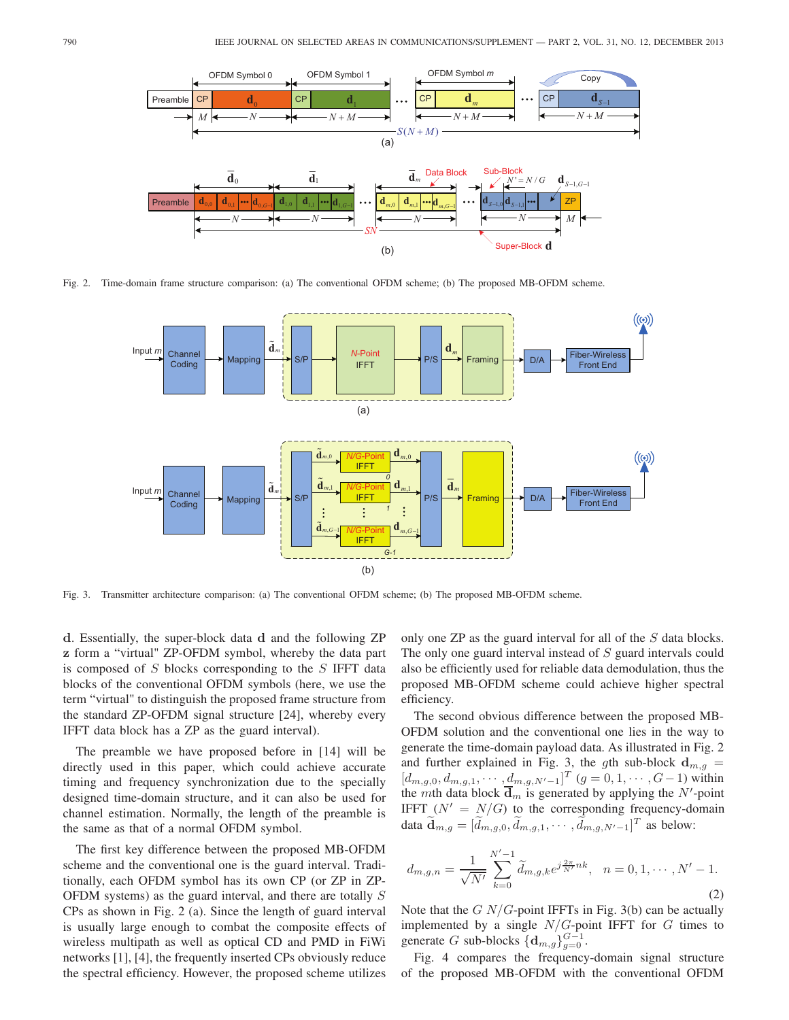

Fig. 2. Time-domain frame structure comparison: (a) The conventional OFDM scheme; (b) The proposed MB-OFDM scheme.



Fig. 3. Transmitter architecture comparison: (a) The conventional OFDM scheme; (b) The proposed MB-OFDM scheme.

**d**. Essentially, the super-block data **d** and the following ZP **z** form a "virtual" ZP-OFDM symbol, whereby the data part is composed of S blocks corresponding to the S IFFT data blocks of the conventional OFDM symbols (here, we use the term "virtual" to distinguish the proposed frame structure from the standard ZP-OFDM signal structure [24], whereby every IFFT data block has a ZP as the guard interval).

The preamble we have proposed before in [14] will be directly used in this paper, which could achieve accurate timing and frequency synchronization due to the specially designed time-domain structure, and it can also be used for channel estimation. Normally, the length of the preamble is the same as that of a normal OFDM symbol.

The first key difference between the proposed MB-OFDM scheme and the conventional one is the guard interval. Traditionally, each OFDM symbol has its own CP (or ZP in ZP-OFDM systems) as the guard interval, and there are totally S CPs as shown in Fig. 2 (a). Since the length of guard interval is usually large enough to combat the composite effects of wireless multipath as well as optical CD and PMD in FiWi networks [1], [4], the frequently inserted CPs obviously reduce the spectral efficiency. However, the proposed scheme utilizes

only one ZP as the guard interval for all of the S data blocks. The only one guard interval instead of S guard intervals could also be efficiently used for reliable data demodulation, thus the proposed MB-OFDM scheme could achieve higher spectral efficiency.

The second obvious difference between the proposed MB-OFDM solution and the conventional one lies in the way to generate the time-domain payload data. As illustrated in Fig. 2 and further explained in Fig. 3, the gth sub-block  $d_{m,q}$  $[d_{m,g,0}, d_{m,g,1}, \cdots, d_{m,g,N'-1}]^T$   $(g = 0, 1, \cdots, G-1)$  within<br>the *m*th data block  $\overline{d}$  is generated by applying the *N'*-point  $[a_{m,g,0}, a_{m,g,1}, \cdots, a_{m,g,N'-1}]$   $(g = 0, 1, \cdots, G-1)$  within<br>the *mth* data block  $\overline{d}_m$  is generated by applying the N'-point IFFT  $(N' = N/G)$  to the corresponding frequency-domain data  $\widetilde{\mathbf{d}}_{m,g} = [\widetilde{d}_{m,g,0}, \widetilde{d}_{m,g,1}, \cdots, \widetilde{d}_{m,g,N'-1}]^T$  as below:

$$
d_{m,g,n} = \frac{1}{\sqrt{N'}} \sum_{k=0}^{N'-1} \widetilde{d}_{m,g,k} e^{j\frac{2\pi}{N'}nk}, \quad n = 0, 1, \cdots, N'-1.
$$
\n(2)

Note that the  $GN/G$ -point IFFTs in Fig. 3(b) can be actually implemented by a single  $N/G$ -point IFFT for  $G$  times to generate G sub-blocks  $\{d_{m,g}\}_{g=0}^{G-1}$ .

Fig. 4 compares the frequency-domain signal structure of the proposed MB-OFDM with the conventional OFDM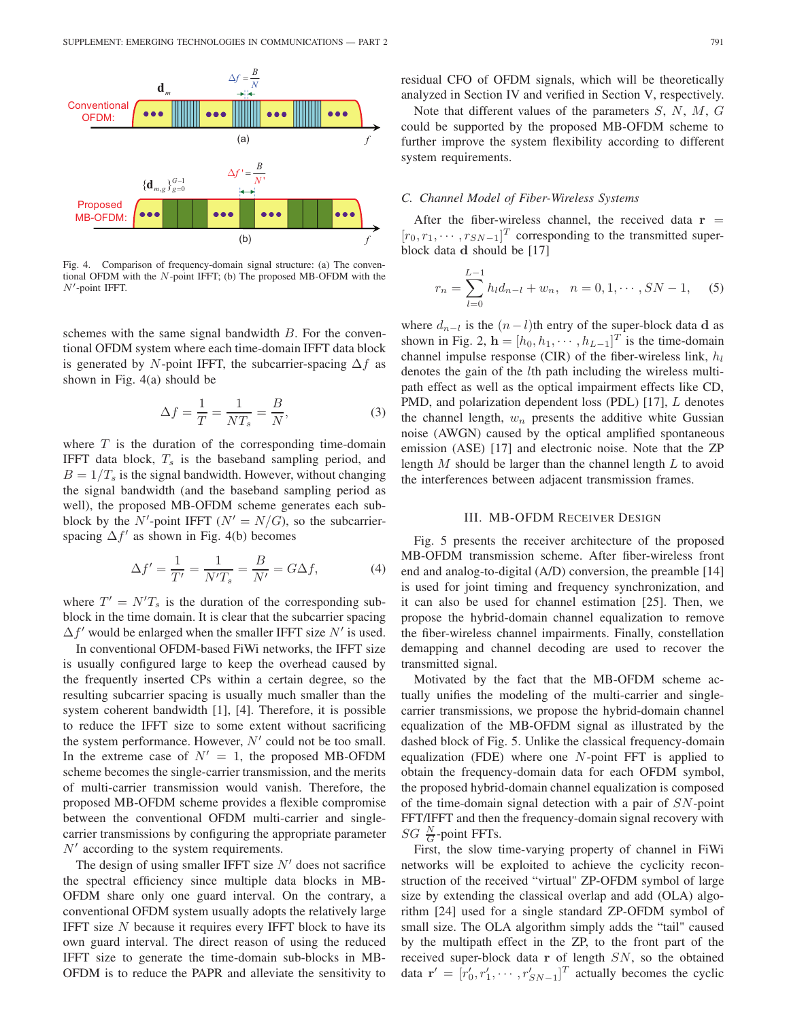

Fig. 4. Comparison of frequency-domain signal structure: (a) The conventional OFDM with the N-point IFFT; (b) The proposed MB-OFDM with the  $N'$ -point IFFT.

schemes with the same signal bandwidth  $B$ . For the conventional OFDM system where each time-domain IFFT data block is generated by N-point IFFT, the subcarrier-spacing  $\Delta f$  as shown in Fig. 4(a) should be

$$
\Delta f = \frac{1}{T} = \frac{1}{NT_s} = \frac{B}{N},\tag{3}
$$

where  $T$  is the duration of the corresponding time-domain IFFT data block,  $T_s$  is the baseband sampling period, and  $B = 1/T<sub>s</sub>$  is the signal bandwidth. However, without changing the signal bandwidth (and the baseband sampling period as well), the proposed MB-OFDM scheme generates each subblock by the N'-point IFFT ( $N' = N/G$ ), so the subcarrier-<br>spacing  $\Delta f'$  as shown in Fig. 4(b) becomes spacing  $\Delta f'$  as shown in Fig. 4(b) becomes

$$
\Delta f' = \frac{1}{T'} = \frac{1}{N'T_s} = \frac{B}{N'} = G\Delta f,\tag{4}
$$

where  $T' = N'T_s$  is the duration of the corresponding sub-<br>block in the time domain. It is clear that the subcarrier spacing block in the time domain. It is clear that the subcarrier spacing  $\Delta f'$  would be enlarged when the smaller IFFT size N' is used.

In conventional OFDM-based FiWi networks, the IFFT size is usually configured large to keep the overhead caused by the frequently inserted CPs within a certain degree, so the resulting subcarrier spacing is usually much smaller than the system coherent bandwidth [1], [4]. Therefore, it is possible to reduce the IFFT size to some extent without sacrificing the system performance. However,  $N'$  could not be too small. In the extreme case of  $N' = 1$ , the proposed MB-OFDM scheme becomes the single-carrier transmission, and the merits of multi-carrier transmission would vanish. Therefore, the proposed MB-OFDM scheme provides a flexible compromise between the conventional OFDM multi-carrier and singlecarrier transmissions by configuring the appropriate parameter  $N'$  according to the system requirements.

The design of using smaller IFFT size  $N'$  does not sacrifice the spectral efficiency since multiple data blocks in MB-OFDM share only one guard interval. On the contrary, a conventional OFDM system usually adopts the relatively large IFFT size  $N$  because it requires every IFFT block to have its own guard interval. The direct reason of using the reduced IFFT size to generate the time-domain sub-blocks in MB-OFDM is to reduce the PAPR and alleviate the sensitivity to

residual CFO of OFDM signals, which will be theoretically analyzed in Section IV and verified in Section V, respectively.

Note that different values of the parameters S, N, M, G could be supported by the proposed MB-OFDM scheme to further improve the system flexibility according to different system requirements.

# *C. Channel Model of Fiber-Wireless Systems*

After the fiber-wireless channel, the received data  $\mathbf{r}$  =  $[r_0, r_1, \cdots, r_{SN-1}]^T$  corresponding to the transmitted super-<br>block data d should be [17] block data **d** should be [17]

$$
r_n = \sum_{l=0}^{L-1} h_l d_{n-l} + w_n, \quad n = 0, 1, \cdots, SN - 1,
$$
 (5)

where  $d_{n-l}$  is the  $(n-l)$ th entry of the super-block data **d** as shown in Fig. 2,  $\mathbf{h} = [h_0, h_1, \cdots, h_{L-1}]^T$  is the time-domain channel impulse response (CIR) of the fiber-wireless link  $h_1$ channel impulse response (CIR) of the fiber-wireless link,  $h_l$ denotes the gain of the lth path including the wireless multipath effect as well as the optical impairment effects like CD, PMD, and polarization dependent loss (PDL) [17], L denotes the channel length,  $w_n$  presents the additive white Gussian noise (AWGN) caused by the optical amplified spontaneous emission (ASE) [17] and electronic noise. Note that the ZP length  $M$  should be larger than the channel length  $L$  to avoid the interferences between adjacent transmission frames.

# III. MB-OFDM RECEIVER DESIGN

Fig. 5 presents the receiver architecture of the proposed MB-OFDM transmission scheme. After fiber-wireless front end and analog-to-digital (A/D) conversion, the preamble [14] is used for joint timing and frequency synchronization, and it can also be used for channel estimation [25]. Then, we propose the hybrid-domain channel equalization to remove the fiber-wireless channel impairments. Finally, constellation demapping and channel decoding are used to recover the transmitted signal.

Motivated by the fact that the MB-OFDM scheme actually unifies the modeling of the multi-carrier and singlecarrier transmissions, we propose the hybrid-domain channel equalization of the MB-OFDM signal as illustrated by the dashed block of Fig. 5. Unlike the classical frequency-domain equalization (FDE) where one N-point FFT is applied to obtain the frequency-domain data for each OFDM symbol, the proposed hybrid-domain channel equalization is composed of the time-domain signal detection with a pair of SN-point FFT/IFFT and then the frequency-domain signal recovery with  $SG \frac{N}{G}$ -point FFTs.<br>First, the slow t

First, the slow time-varying property of channel in FiWi networks will be exploited to achieve the cyclicity reconstruction of the received "virtual" ZP-OFDM symbol of large size by extending the classical overlap and add (OLA) algorithm [24] used for a single standard ZP-OFDM symbol of small size. The OLA algorithm simply adds the "tail" caused by the multipath effect in the ZP, to the front part of the received super-block data **r** of length SN, so the obtained data  $\mathbf{r}' = [r'_0, r'_1, \cdots, r'_{SN-1}]^T$  actually becomes the cyclic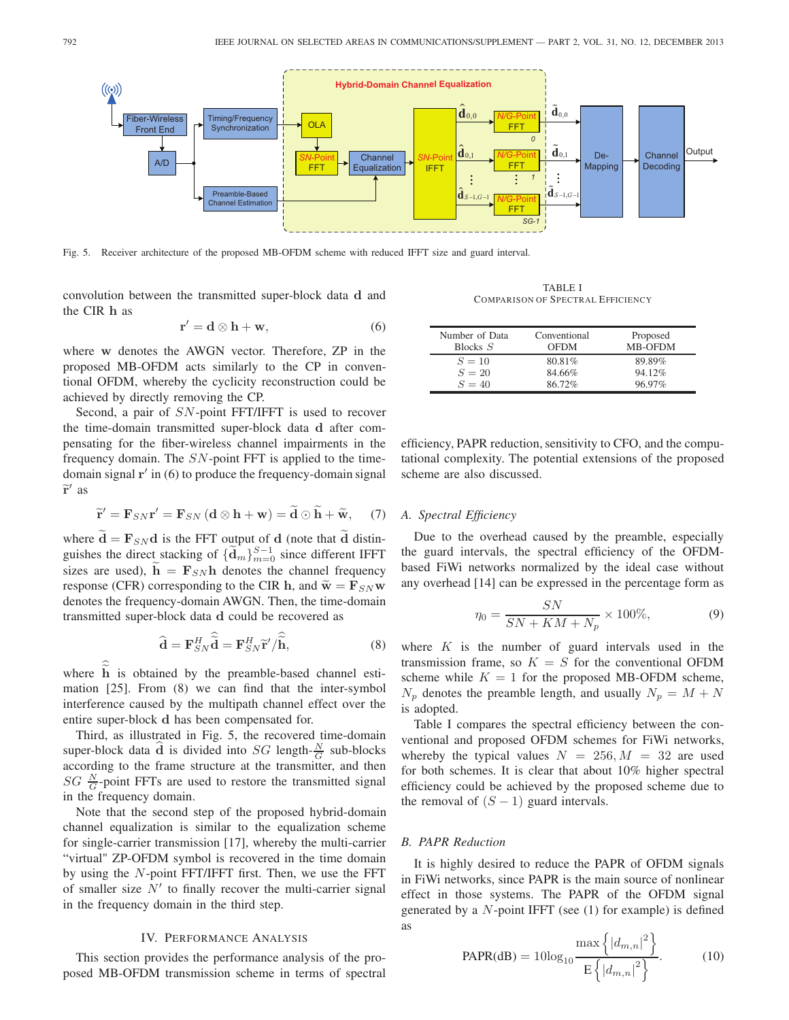

Fig. 5. Receiver architecture of the proposed MB-OFDM scheme with reduced IFFT size and guard interval.

convolution between the transmitted super-block data **d** and the CIR **h** as

$$
\mathbf{r}' = \mathbf{d} \otimes \mathbf{h} + \mathbf{w},\tag{6}
$$

where **w** denotes the AWGN vector. Therefore, ZP in the proposed MB-OFDM acts similarly to the CP in conventional OFDM, whereby the cyclicity reconstruction could be achieved by directly removing the CP.

Second, a pair of SN-point FFT/IFFT is used to recover the time-domain transmitted super-block data **d** after compensating for the fiber-wireless channel impairments in the frequency domain. The  $SN$ -point FFT is applied to the timedomain signal  $\mathbf{r}'$  in (6) to produce the frequency-domain signal  $\widetilde{\mathbf{r}}'$  as

$$
\widetilde{\mathbf{r}}' = \mathbf{F}_{SN}\mathbf{r}' = \mathbf{F}_{SN} \left( \mathbf{d} \otimes \mathbf{h} + \mathbf{w} \right) = \widetilde{\mathbf{d}} \odot \widetilde{\mathbf{h}} + \widetilde{\mathbf{w}}, \quad (7)
$$

where  $\mathbf{d} = \mathbf{F}_{SN} \mathbf{d}$  is the FFT output of **d** (note that **d** distinguishes the direct stacking of  ${\tilde{d}_m}_{m=0}^{S-1}$  since different IFFT sizes are used),  $h = \mathbf{F}_{SN}h$  denotes the channel frequency response (CFR) corresponding to the CIR **h**, and  $\widetilde{\mathbf{w}} = \mathbf{F}_{SN} \mathbf{w}$ denotes the frequency-domain AWGN. Then, the time-domain transmitted super-block data **d** could be recovered as

$$
\widehat{\mathbf{d}} = \mathbf{F}_{SN}^H \widehat{\widetilde{\mathbf{d}}} = \mathbf{F}_{SN}^H \widetilde{\mathbf{r}}' / \widehat{\widetilde{\mathbf{h}}},
$$
(8)

where  $\tilde{h}$  is obtained by the preamble-based channel estimation [25]. From (8) we can find that the inter-symbol interference caused by the multipath channel effect over the entire super-block **d** has been compensated for.

Third, as illustrated in Fig. 5, the recovered time-domain super-block data  $\hat{d}$  is divided into *SG* length- $\frac{N}{G}$  sub-blocks according to the frame structure at the transmitter, and then  $SG \frac{N}{G}$ -point FFTs are used to restore the transmitted signal<br>in the frequency domain in the frequency domain.

Note that the second step of the proposed hybrid-domain channel equalization is similar to the equalization scheme for single-carrier transmission [17], whereby the multi-carrier "virtual" ZP-OFDM symbol is recovered in the time domain by using the N-point FFT/IFFT first. Then, we use the FFT of smaller size  $N'$  to finally recover the multi-carrier signal in the frequency domain in the third step.

### IV. PERFORMANCE ANALYSIS

This section provides the performance analysis of the proposed MB-OFDM transmission scheme in terms of spectral

TABLE I COMPARISON OF SPECTRAL EFFICIENCY

| Number of Data<br>Blocks $S$ | Conventional<br><b>OFDM</b> | Proposed<br>MB-OFDM |
|------------------------------|-----------------------------|---------------------|
| $S = 10$                     | 80.81%                      | 89.89%              |
| $S = 20$                     | 84.66%                      | 94.12%              |
| $S = 40$                     | 86.72%                      | 96.97%              |

efficiency, PAPR reduction, sensitivity to CFO, and the computational complexity. The potential extensions of the proposed scheme are also discussed.

# *A. Spectral Efficiency*

Due to the overhead caused by the preamble, especially the guard intervals, the spectral efficiency of the OFDMbased FiWi networks normalized by the ideal case without any overhead [14] can be expressed in the percentage form as

$$
\eta_0 = \frac{SN}{SN + KM + N_p} \times 100\%,\tag{9}
$$

where  $K$  is the number of guard intervals used in the transmission frame, so  $K = S$  for the conventional OFDM scheme while  $K = 1$  for the proposed MB-OFDM scheme,  $N_p$  denotes the preamble length, and usually  $N_p = M + N$ is adopted.

Table I compares the spectral efficiency between the conventional and proposed OFDM schemes for FiWi networks, whereby the typical values  $N = 256, M = 32$  are used for both schemes. It is clear that about 10% higher spectral efficiency could be achieved by the proposed scheme due to the removal of  $(S - 1)$  guard intervals.

### *B. PAPR Reduction*

It is highly desired to reduce the PAPR of OFDM signals in FiWi networks, since PAPR is the main source of nonlinear effect in those systems. The PAPR of the OFDM signal generated by a  $N$ -point IFFT (see  $(1)$  for example) is defined as

PAPR(dB) = 
$$
10\log_{10} \frac{\max\left\{|d_{m,n}|^2\right\}}{E\left\{|d_{m,n}|^2\right\}}
$$
. (10)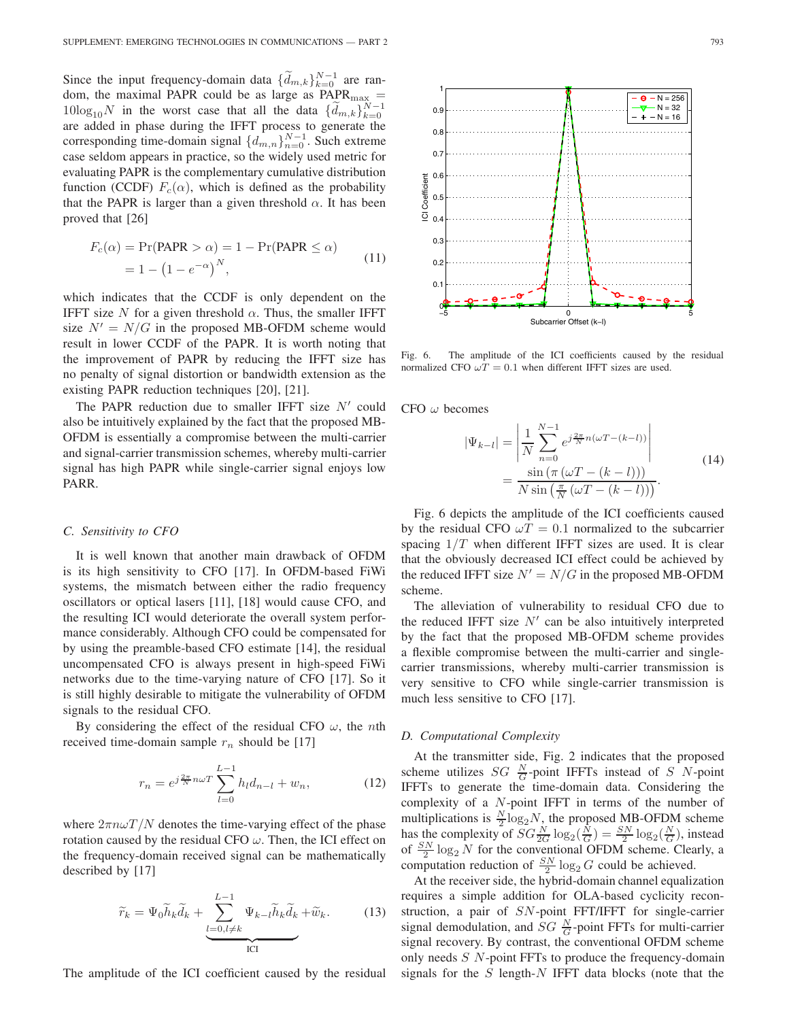Since the input frequency-domain data  $\{\tilde{d}_{m,k}\}_{k=0}^{N-1}$  are ran-<br>dom the maximal PAPR could be as large as PAPR – dom, the maximal PAPR could be as large as  $PAPR_{\text{max}} =$  $10\log_{10} N$  in the worst case that all the data  $\{\tilde{d}_{m,k}\}_{k=0}^{N-1}$ <br>are added in phase during the IEET process to generate the are added in phase during the IFFT process to generate the corresponding time-domain signal  $\{d_{m,n}\}_{n=0}^{N-1}$ . Such extreme case seldom appears in practice, so the widely used metric for evaluating PAPR is the complementary cumulative distribution function (CCDF)  $F_c(\alpha)$ , which is defined as the probability that the PAPR is larger than a given threshold  $\alpha$ . It has been proved that [26]

$$
F_c(\alpha) = \Pr(\text{PAPR} > \alpha) = 1 - \Pr(\text{PAPR} \le \alpha)
$$
  
= 1 - (1 - e<sup>- $\alpha$</sup> )<sup>*N*</sup>, (11)

which indicates that the CCDF is only dependent on the IFFT size N for a given threshold  $\alpha$ . Thus, the smaller IFFT size  $N' = N/G$  in the proposed MB-OFDM scheme would result in lower CCDF of the PAPR. It is worth noting that the improvement of PAPR by reducing the IFFT size has no penalty of signal distortion or bandwidth extension as the existing PAPR reduction techniques [20], [21].

The PAPR reduction due to smaller IFFT size  $N'$  could also be intuitively explained by the fact that the proposed MB-OFDM is essentially a compromise between the multi-carrier and signal-carrier transmission schemes, whereby multi-carrier signal has high PAPR while single-carrier signal enjoys low PARR.

# *C. Sensitivity to CFO*

It is well known that another main drawback of OFDM is its high sensitivity to CFO [17]. In OFDM-based FiWi systems, the mismatch between either the radio frequency oscillators or optical lasers [11], [18] would cause CFO, and the resulting ICI would deteriorate the overall system performance considerably. Although CFO could be compensated for by using the preamble-based CFO estimate [14], the residual uncompensated CFO is always present in high-speed FiWi networks due to the time-varying nature of CFO [17]. So it is still highly desirable to mitigate the vulnerability of OFDM signals to the residual CFO.

By considering the effect of the residual CFO  $\omega$ , the *n*th received time-domain sample  $r_n$  should be [17]

$$
r_n = e^{j\frac{2\pi}{N}n\omega T} \sum_{l=0}^{L-1} h_l d_{n-l} + w_n,
$$
 (12)

where  $2\pi n\omega T/N$  denotes the time-varying effect of the phase rotation caused by the residual CFO  $\omega$ . Then, the ICI effect on the frequency-domain received signal can be mathematically described by [17]

$$
\widetilde{r}_k = \Psi_0 \widetilde{h}_k \widetilde{d}_k + \underbrace{\sum_{l=0, l \neq k}^{L-1} \Psi_{k-l} \widetilde{h}_k \widetilde{d}_k}_{\text{ICI}} + \widetilde{w}_k. \tag{13}
$$

The amplitude of the ICI coefficient caused by the residual



Fig. 6. The amplitude of the ICI coefficients caused by the residual normalized CFO  $\omega T = 0.1$  when different IFFT sizes are used.

CFO  $\omega$  becomes

$$
|\Psi_{k-l}| = \left| \frac{1}{N} \sum_{n=0}^{N-1} e^{j\frac{2\pi}{N}n(\omega T - (k-l))} \right|
$$
  
= 
$$
\frac{\sin(\pi(\omega T - (k-l)))}{N \sin(\frac{\pi}{N}(\omega T - (k-l)))}.
$$
 (14)

Fig. 6 depicts the amplitude of the ICI coefficients caused by the residual CFO  $\omega T = 0.1$  normalized to the subcarrier spacing  $1/T$  when different IFFT sizes are used. It is clear that the obviously decreased ICI effect could be achieved by the reduced IFFT size  $N' = N/G$  in the proposed MB-OFDM scheme.

The alleviation of vulnerability to residual CFO due to the reduced IFFT size  $N'$  can be also intuitively interpreted by the fact that the proposed MB-OFDM scheme provides a flexible compromise between the multi-carrier and singlecarrier transmissions, whereby multi-carrier transmission is very sensitive to CFO while single-carrier transmission is much less sensitive to CFO [17].

# *D. Computational Complexity*

At the transmitter side, Fig. 2 indicates that the proposed scheme utilizes  $SG \frac{N}{G}$ -point IFFTs instead of S N-point<br>IFFTs to generate the time-domain data Considering the IFFTs to generate the time-domain data. Considering the complexity of a N-point IFFT in terms of the number of multiplications is  $\frac{N}{2} \log_2 N$ , the proposed MB-OFDM scheme<br>has the complexity of  $SC \times 1$  or  $(N) = SN \log_2(N)$  instead has the complexity of  $SG\frac{N}{2G}\log_2(\frac{N}{G}) = \frac{SN}{2}\log_2(\frac{N}{G})$ , instead<br>of  $\frac{SN}{2N}\log_2 N$  for the conventional OFDM scheme. Clearly a has the complexity of  $5G \frac{2G}{2G} \log_2(\frac{G}{G}) = \frac{2G}{2} \log_2(\frac{G}{G})$ , instead<br>of  $\frac{SN}{2} \log_2 N$  for the conventional OFDM scheme. Clearly, a computation reduction of  $\frac{SN}{2} \log_2 G$  could be achieved.

At the receiver side, the hybrid-domain channel equalization requires a simple addition for OLA-based cyclicity reconstruction, a pair of SN-point FFT/IFFT for single-carrier signal demodulation, and  $SG \frac{N}{G}$ -point FFTs for multi-carrier<br>signal recovery. By contrast, the conventional OEDM scheme signal recovery. By contrast, the conventional OFDM scheme only needs S N-point FFTs to produce the frequency-domain signals for the  $S$  length- $N$  IFFT data blocks (note that the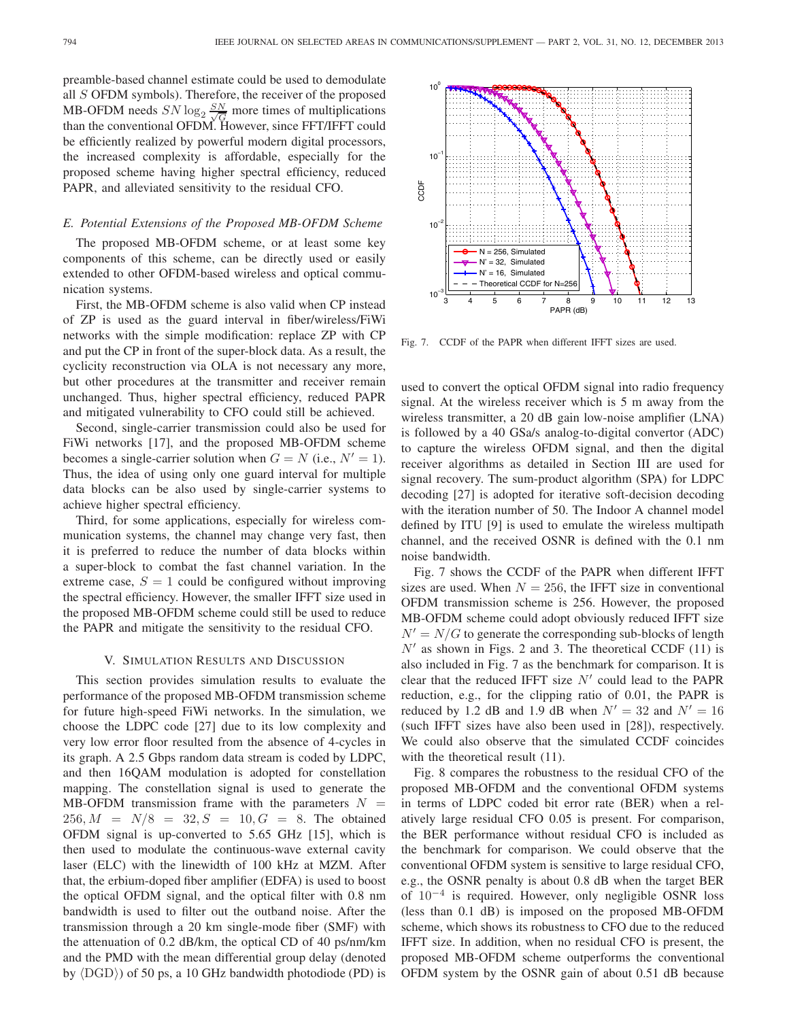preamble-based channel estimate could be used to demodulate all S OFDM symbols). Therefore, the receiver of the proposed MB-OFDM needs  $SN \log_2 \frac{SN}{\sqrt{G}}$  more times of multiplications than the conventional OFDM. However, since FFT/IFFT could than the conventional OFDM. However, since FFT/IFFT could be efficiently realized by powerful modern digital processors, the increased complexity is affordable, especially for the proposed scheme having higher spectral efficiency, reduced PAPR, and alleviated sensitivity to the residual CFO.

# *E. Potential Extensions of the Proposed MB-OFDM Scheme*

The proposed MB-OFDM scheme, or at least some key components of this scheme, can be directly used or easily extended to other OFDM-based wireless and optical communication systems.

First, the MB-OFDM scheme is also valid when CP instead of ZP is used as the guard interval in fiber/wireless/FiWi networks with the simple modification: replace ZP with CP and put the CP in front of the super-block data. As a result, the cyclicity reconstruction via OLA is not necessary any more, but other procedures at the transmitter and receiver remain unchanged. Thus, higher spectral efficiency, reduced PAPR and mitigated vulnerability to CFO could still be achieved.

Second, single-carrier transmission could also be used for FiWi networks [17], and the proposed MB-OFDM scheme becomes a single-carrier solution when  $G = N$  (i.e.,  $N' = 1$ ). Thus, the idea of using only one guard interval for multiple data blocks can be also used by single-carrier systems to achieve higher spectral efficiency.

Third, for some applications, especially for wireless communication systems, the channel may change very fast, then it is preferred to reduce the number of data blocks within a super-block to combat the fast channel variation. In the extreme case,  $S = 1$  could be configured without improving the spectral efficiency. However, the smaller IFFT size used in the proposed MB-OFDM scheme could still be used to reduce the PAPR and mitigate the sensitivity to the residual CFO.

#### V. SIMULATION RESULTS AND DISCUSSION

This section provides simulation results to evaluate the performance of the proposed MB-OFDM transmission scheme for future high-speed FiWi networks. In the simulation, we choose the LDPC code [27] due to its low complexity and very low error floor resulted from the absence of 4-cycles in its graph. A 2.5 Gbps random data stream is coded by LDPC, and then 16QAM modulation is adopted for constellation mapping. The constellation signal is used to generate the MB-OFDM transmission frame with the parameters  $N =$  $256, M = N/8 = 32, S = 10, G = 8$ . The obtained OFDM signal is up-converted to 5.65 GHz [15], which is then used to modulate the continuous-wave external cavity laser (ELC) with the linewidth of 100 kHz at MZM. After that, the erbium-doped fiber amplifier (EDFA) is used to boost the optical OFDM signal, and the optical filter with 0.8 nm bandwidth is used to filter out the outband noise. After the transmission through a 20 km single-mode fiber (SMF) with the attenuation of 0.2 dB/km, the optical CD of 40 ps/nm/km and the PMD with the mean differential group delay (denoted by  $\langle DGD \rangle$ ) of 50 ps, a 10 GHz bandwidth photodiode (PD) is



Fig. 7. CCDF of the PAPR when different IFFT sizes are used.

used to convert the optical OFDM signal into radio frequency signal. At the wireless receiver which is 5 m away from the wireless transmitter, a 20 dB gain low-noise amplifier (LNA) is followed by a 40 GSa/s analog-to-digital convertor (ADC) to capture the wireless OFDM signal, and then the digital receiver algorithms as detailed in Section III are used for signal recovery. The sum-product algorithm (SPA) for LDPC decoding [27] is adopted for iterative soft-decision decoding with the iteration number of 50. The Indoor A channel model defined by ITU [9] is used to emulate the wireless multipath channel, and the received OSNR is defined with the 0.1 nm noise bandwidth.

Fig. 7 shows the CCDF of the PAPR when different IFFT sizes are used. When  $N = 256$ , the IFFT size in conventional OFDM transmission scheme is 256. However, the proposed MB-OFDM scheme could adopt obviously reduced IFFT size  $N' = N/G$  to generate the corresponding sub-blocks of length  $N'$  as shown in Figs. 2 and 3. The theoretical CCDF (11) is also included in Fig. 7 as the benchmark for comparison. It is clear that the reduced IFFT size  $N'$  could lead to the PAPR reduction, e.g., for the clipping ratio of 0.01, the PAPR is reduced by 1.2 dB and 1.9 dB when  $N' = 32$  and  $N' = 16$ (such IFFT sizes have also been used in [28]), respectively. We could also observe that the simulated CCDF coincides with the theoretical result  $(11)$ .

Fig. 8 compares the robustness to the residual CFO of the proposed MB-OFDM and the conventional OFDM systems in terms of LDPC coded bit error rate (BER) when a relatively large residual CFO 0.05 is present. For comparison, the BER performance without residual CFO is included as the benchmark for comparison. We could observe that the conventional OFDM system is sensitive to large residual CFO, e.g., the OSNR penalty is about 0.8 dB when the target BER of 10<sup>−</sup><sup>4</sup> is required. However, only negligible OSNR loss (less than 0.1 dB) is imposed on the proposed MB-OFDM scheme, which shows its robustness to CFO due to the reduced IFFT size. In addition, when no residual CFO is present, the proposed MB-OFDM scheme outperforms the conventional OFDM system by the OSNR gain of about 0.51 dB because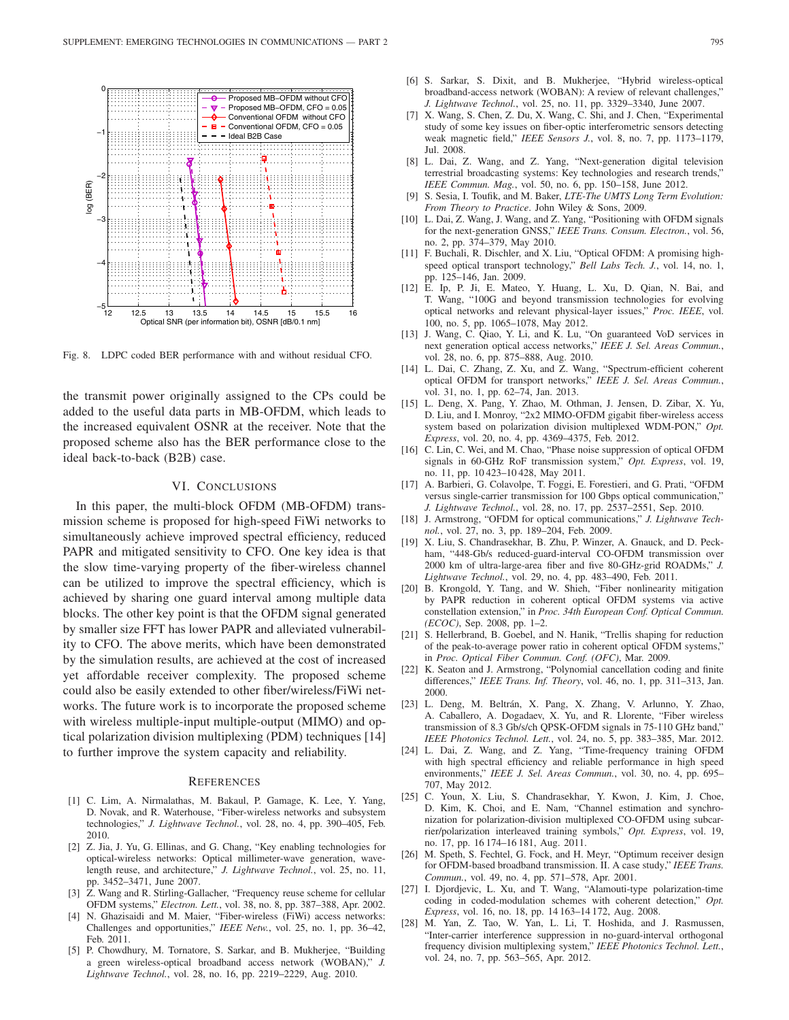

Fig. 8. LDPC coded BER performance with and without residual CFO.

the transmit power originally assigned to the CPs could be added to the useful data parts in MB-OFDM, which leads to the increased equivalent OSNR at the receiver. Note that the proposed scheme also has the BER performance close to the ideal back-to-back (B2B) case.

# VI. CONCLUSIONS

In this paper, the multi-block OFDM (MB-OFDM) transmission scheme is proposed for high-speed FiWi networks to simultaneously achieve improved spectral efficiency, reduced PAPR and mitigated sensitivity to CFO. One key idea is that the slow time-varying property of the fiber-wireless channel can be utilized to improve the spectral efficiency, which is achieved by sharing one guard interval among multiple data blocks. The other key point is that the OFDM signal generated by smaller size FFT has lower PAPR and alleviated vulnerability to CFO. The above merits, which have been demonstrated by the simulation results, are achieved at the cost of increased yet affordable receiver complexity. The proposed scheme could also be easily extended to other fiber/wireless/FiWi networks. The future work is to incorporate the proposed scheme with wireless multiple-input multiple-output (MIMO) and optical polarization division multiplexing (PDM) techniques [14] to further improve the system capacity and reliability.

#### **REFERENCES**

- [1] C. Lim, A. Nirmalathas, M. Bakaul, P. Gamage, K. Lee, Y. Yang, D. Novak, and R. Waterhouse, "Fiber-wireless networks and subsystem technologies," *J. Lightwave Technol.*, vol. 28, no. 4, pp. 390–405, Feb. 2010.
- [2] Z. Jia, J. Yu, G. Ellinas, and G. Chang, "Key enabling technologies for optical-wireless networks: Optical millimeter-wave generation, wavelength reuse, and architecture," *J. Lightwave Technol.*, vol. 25, no. 11, pp. 3452–3471, June 2007.
- [3] Z. Wang and R. Stirling-Gallacher, "Frequency reuse scheme for cellular OFDM systems," *Electron. Lett.*, vol. 38, no. 8, pp. 387–388, Apr. 2002.
- [4] N. Ghazisaidi and M. Maier, "Fiber-wireless (FiWi) access networks: Challenges and opportunities," *IEEE Netw.*, vol. 25, no. 1, pp. 36–42, Feb. 2011.
- [5] P. Chowdhury, M. Tornatore, S. Sarkar, and B. Mukherjee, "Building a green wireless-optical broadband access network (WOBAN)," *J. Lightwave Technol.*, vol. 28, no. 16, pp. 2219–2229, Aug. 2010.
- [6] S. Sarkar, S. Dixit, and B. Mukherjee, "Hybrid wireless-optical broadband-access network (WOBAN): A review of relevant challenges," *J. Lightwave Technol.*, vol. 25, no. 11, pp. 3329–3340, June 2007.
- [7] X. Wang, S. Chen, Z. Du, X. Wang, C. Shi, and J. Chen, "Experimental study of some key issues on fiber-optic interferometric sensors detecting weak magnetic field," *IEEE Sensors J.*, vol. 8, no. 7, pp. 1173–1179, Jul. 2008.
- [8] L. Dai, Z. Wang, and Z. Yang, "Next-generation digital television terrestrial broadcasting systems: Key technologies and research trends," *IEEE Commun. Mag.*, vol. 50, no. 6, pp. 150–158, June 2012.
- [9] S. Sesia, I. Toufik, and M. Baker, *LTE-The UMTS Long Term Evolution: From Theory to Practice*. John Wiley & Sons, 2009.
- [10] L. Dai, Z. Wang, J. Wang, and Z. Yang, "Positioning with OFDM signals for the next-generation GNSS," *IEEE Trans. Consum. Electron.*, vol. 56, no. 2, pp. 374–379, May 2010.
- [11] F. Buchali, R. Dischler, and X. Liu, "Optical OFDM: A promising highspeed optical transport technology," *Bell Labs Tech. J.*, vol. 14, no. 1, pp. 125–146, Jan. 2009.
- [12] E. Ip, P. Ji, E. Mateo, Y. Huang, L. Xu, D. Qian, N. Bai, and T. Wang, "100G and beyond transmission technologies for evolving optical networks and relevant physical-layer issues," *Proc. IEEE*, vol. 100, no. 5, pp. 1065–1078, May 2012.
- [13] J. Wang, C. Qiao, Y. Li, and K. Lu, "On guaranteed VoD services in next generation optical access networks," *IEEE J. Sel. Areas Commun.*, vol. 28, no. 6, pp. 875–888, Aug. 2010.
- [14] L. Dai, C. Zhang, Z. Xu, and Z. Wang, "Spectrum-efficient coherent optical OFDM for transport networks," *IEEE J. Sel. Areas Commun.*, vol. 31, no. 1, pp. 62–74, Jan. 2013.
- [15] L. Deng, X. Pang, Y. Zhao, M. Othman, J. Jensen, D. Zibar, X. Yu, D. Liu, and I. Monroy, "2x2 MIMO-OFDM gigabit fiber-wireless access system based on polarization division multiplexed WDM-PON," *Opt. Express*, vol. 20, no. 4, pp. 4369–4375, Feb. 2012.
- [16] C. Lin, C. Wei, and M. Chao, "Phase noise suppression of optical OFDM signals in 60-GHz RoF transmission system," *Opt. Express*, vol. 19, no. 11, pp. 10 423–10 428, May 2011.
- [17] A. Barbieri, G. Colavolpe, T. Foggi, E. Forestieri, and G. Prati, "OFDM versus single-carrier transmission for 100 Gbps optical communication," *J. Lightwave Technol.*, vol. 28, no. 17, pp. 2537–2551, Sep. 2010.
- [18] J. Armstrong, "OFDM for optical communications," *J. Lightwave Technol.*, vol. 27, no. 3, pp. 189–204, Feb. 2009.
- [19] X. Liu, S. Chandrasekhar, B. Zhu, P. Winzer, A. Gnauck, and D. Peckham, "448-Gb/s reduced-guard-interval CO-OFDM transmission over 2000 km of ultra-large-area fiber and five 80-GHz-grid ROADMs," *J. Lightwave Technol.*, vol. 29, no. 4, pp. 483–490, Feb. 2011.
- [20] B. Krongold, Y. Tang, and W. Shieh, "Fiber nonlinearity mitigation by PAPR reduction in coherent optical OFDM systems via active constellation extension," in *Proc. 34th European Conf. Optical Commun. (ECOC)*, Sep. 2008, pp. 1–2.
- [21] S. Hellerbrand, B. Goebel, and N. Hanik, "Trellis shaping for reduction of the peak-to-average power ratio in coherent optical OFDM systems," in *Proc. Optical Fiber Commun. Conf. (OFC)*, Mar. 2009.
- [22] K. Seaton and J. Armstrong, "Polynomial cancellation coding and finite differences," *IEEE Trans. Inf. Theory*, vol. 46, no. 1, pp. 311–313, Jan. 2000.
- [23] L. Deng, M. Beltrán, X. Pang, X. Zhang, V. Arlunno, Y. Zhao, A. Caballero, A. Dogadaev, X. Yu, and R. Llorente, "Fiber wireless transmission of 8.3 Gb/s/ch QPSK-OFDM signals in 75-110 GHz band," *IEEE Photonics Technol. Lett.*, vol. 24, no. 5, pp. 383–385, Mar. 2012.
- [24] L. Dai, Z. Wang, and Z. Yang, "Time-frequency training OFDM with high spectral efficiency and reliable performance in high speed environments," *IEEE J. Sel. Areas Commun.*, vol. 30, no. 4, pp. 695– 707, May 2012.
- [25] C. Youn, X. Liu, S. Chandrasekhar, Y. Kwon, J. Kim, J. Choe, D. Kim, K. Choi, and E. Nam, "Channel estimation and synchronization for polarization-division multiplexed CO-OFDM using subcarrier/polarization interleaved training symbols," *Opt. Express*, vol. 19, no. 17, pp. 16 174–16 181, Aug. 2011.
- [26] M. Speth, S. Fechtel, G. Fock, and H. Meyr, "Optimum receiver design for OFDM-based broadband transmission. II. A case study," *IEEE Trans. Commun.*, vol. 49, no. 4, pp. 571–578, Apr. 2001.
- [27] I. Djordjevic, L. Xu, and T. Wang, "Alamouti-type polarization-time coding in coded-modulation schemes with coherent detection," *Opt. Express*, vol. 16, no. 18, pp. 14 163–14 172, Aug. 2008.
- [28] M. Yan, Z. Tao, W. Yan, L. Li, T. Hoshida, and J. Rasmussen, "Inter-carrier interference suppression in no-guard-interval orthogonal frequency division multiplexing system," *IEEE Photonics Technol. Lett.*, vol. 24, no. 7, pp. 563–565, Apr. 2012.